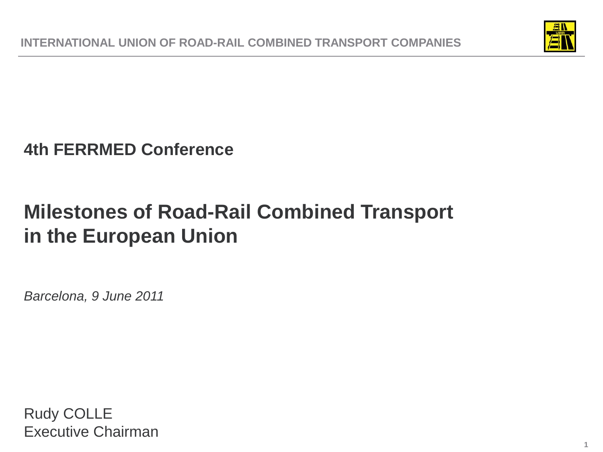

### **4th FERRMED Conference**

# **Milestones of Road-Rail Combined Transport in the European Union**

*Barcelona, 9 June 2011*

Rudy COLLE Executive Chairman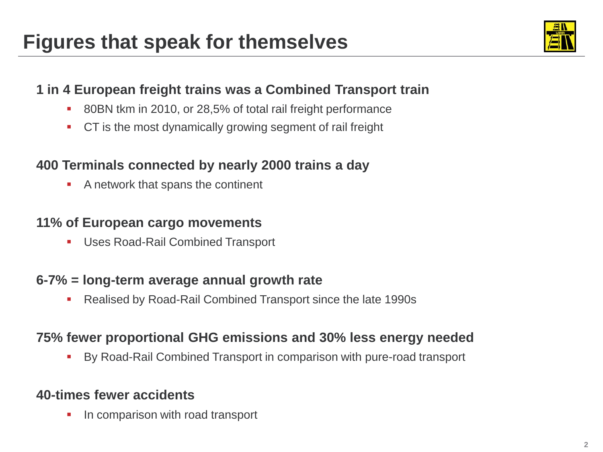

### **1 in 4 European freight trains was a Combined Transport train**

- 80BN tkm in 2010, or 28,5% of total rail freight performance
- **CT** is the most dynamically growing segment of rail freight

### **400 Terminals connected by nearly 2000 trains a day**

**A network that spans the continent** 

#### **11% of European cargo movements**

**Uses Road-Rail Combined Transport** 

#### **6-7% = long-term average annual growth rate**

Realised by Road-Rail Combined Transport since the late 1990s

#### **75% fewer proportional GHG emissions and 30% less energy needed**

By Road-Rail Combined Transport in comparison with pure-road transport

### **40-times fewer accidents**

**In comparison with road transport**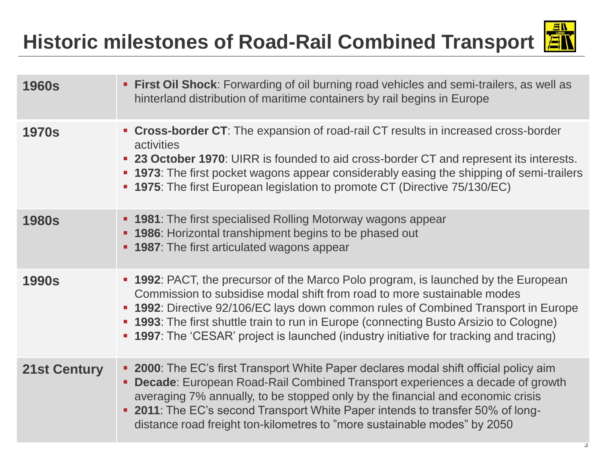# **Historic milestones of Road-Rail Combined Transport**



| <b>1960s</b>        | <b>First Oil Shock:</b> Forwarding of oil burning road vehicles and semi-trailers, as well as<br>hinterland distribution of maritime containers by rail begins in Europe                                                                                                                                                                                                                                                                        |
|---------------------|-------------------------------------------------------------------------------------------------------------------------------------------------------------------------------------------------------------------------------------------------------------------------------------------------------------------------------------------------------------------------------------------------------------------------------------------------|
| <b>1970s</b>        | • Cross-border CT: The expansion of road-rail CT results in increased cross-border<br>activities<br>• 23 October 1970: UIRR is founded to aid cross-border CT and represent its interests.<br>• 1973: The first pocket wagons appear considerably easing the shipping of semi-trailers<br>• 1975: The first European legislation to promote CT (Directive 75/130/EC)                                                                            |
| <b>1980s</b>        | • 1981: The first specialised Rolling Motorway wagons appear<br>• 1986: Horizontal transhipment begins to be phased out<br>• 1987: The first articulated wagons appear                                                                                                                                                                                                                                                                          |
| <b>1990s</b>        | • 1992: PACT, the precursor of the Marco Polo program, is launched by the European<br>Commission to subsidise modal shift from road to more sustainable modes<br><b>- 1992</b> : Directive 92/106/EC lays down common rules of Combined Transport in Europe<br>• 1993: The first shuttle train to run in Europe (connecting Busto Arsizio to Cologne)<br>• 1997: The 'CESAR' project is launched (industry initiative for tracking and tracing) |
| <b>21st Century</b> | • 2000: The EC's first Transport White Paper declares modal shift official policy aim<br>• Decade: European Road-Rail Combined Transport experiences a decade of growth<br>averaging 7% annually, to be stopped only by the financial and economic crisis<br>• 2011: The EC's second Transport White Paper intends to transfer 50% of long-<br>distance road freight ton-kilometres to "more sustainable modes" by 2050                         |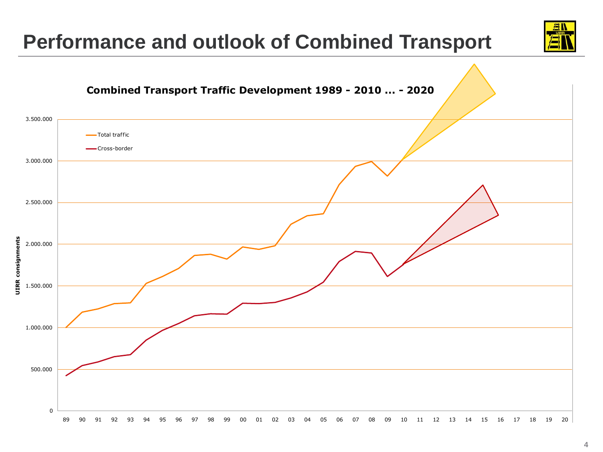### **Performance and outlook of Combined Transport**



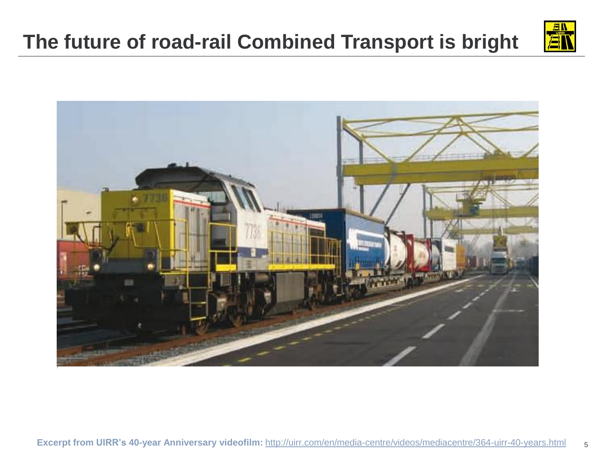# **The future of road-rail Combined Transport is bright**

![](_page_4_Picture_1.jpeg)

![](_page_4_Picture_2.jpeg)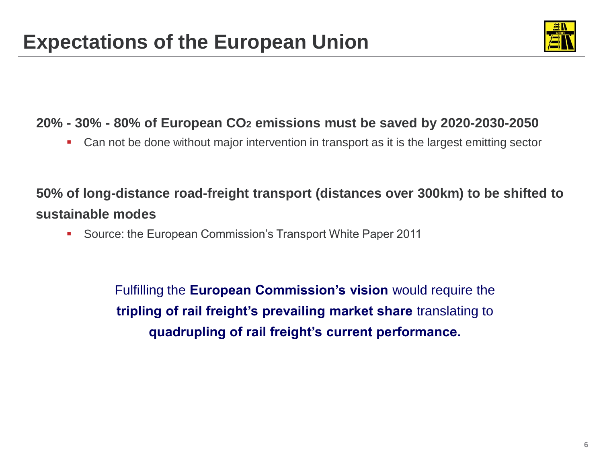![](_page_5_Picture_1.jpeg)

### **20% - 30% - 80% of European CO<sup>2</sup> emissions must be saved by 2020-2030-2050**

Can not be done without major intervention in transport as it is the largest emitting sector

### **50% of long-distance road-freight transport (distances over 300km) to be shifted to sustainable modes**

**Source: the European Commission's Transport White Paper 2011** 

Fulfilling the **European Commission's vision** would require the **tripling of rail freight's prevailing market share** translating to **quadrupling of rail freight's current performance.**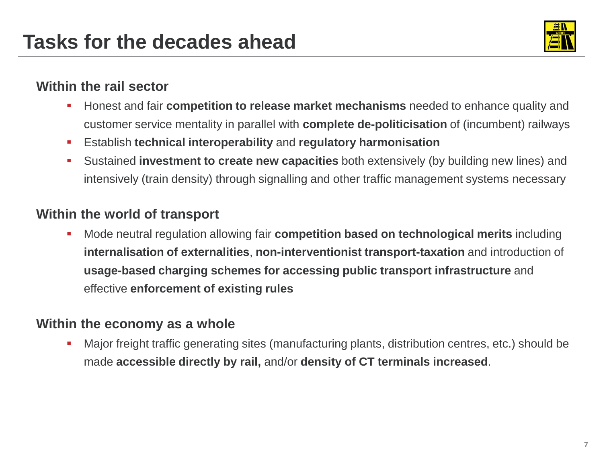![](_page_6_Picture_1.jpeg)

#### **Within the rail sector**

- **Honest and fair competition to release market mechanisms** needed to enhance quality and customer service mentality in parallel with **complete de-politicisation** of (incumbent) railways
- Establish **technical interoperability** and **regulatory harmonisation**
- Sustained **investment to create new capacities** both extensively (by building new lines) and intensively (train density) through signalling and other traffic management systems necessary

### **Within the world of transport**

**Mode neutral regulation allowing fair competition based on technological merits including internalisation of externalities**, **non-interventionist transport-taxation** and introduction of **usage-based charging schemes for accessing public transport infrastructure** and effective **enforcement of existing rules**

### **Within the economy as a whole**

 Major freight traffic generating sites (manufacturing plants, distribution centres, etc.) should be made **accessible directly by rail,** and/or **density of CT terminals increased**.